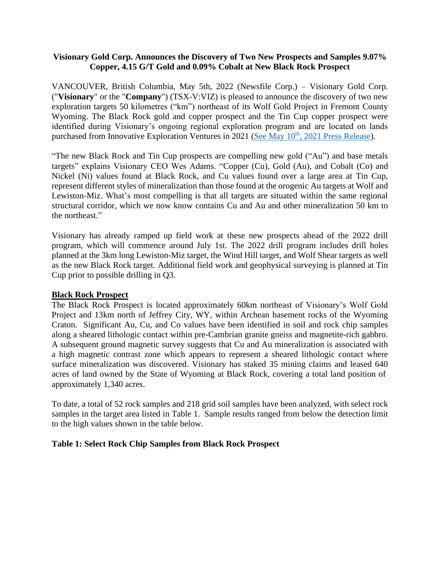# **Visionary Gold Corp. Announces the Discovery of Two New Prospects and Samples 9.07% Copper, 4.15 G/T Gold and 0.09% Cobalt at New Black Rock Prospect**

VANCOUVER, British Columbia, May 5th, 2022 (Newsfile Corp.) – Visionary Gold Corp. ("**Visionary**" or the "**Company**") (TSX-V:VIZ) is pleased to announce the discovery of two new exploration targets 50 kilometres ("km") northeast of its Wolf Gold Project in Fremont County Wyoming. The Black Rock gold and copper prospect and the Tin Cup copper prospect were identified during Visionary's ongoing regional exploration program and are located on lands purchased from Innovative Exploration Ventures in 2021 (See May 10<sup>th</sup>[, 2021 Press Release\)](https://visionarygoldcorp.com/news-releases/visionary-gold-corp-enters-into-agreement-to-double-wyoming-land-holdings-and-adds-key-advisors-heading-into-2021-drill-program/).

"The new Black Rock and Tin Cup prospects are compelling new gold ("Au") and base metals targets" explains Visionary CEO Wes Adams. "Copper (Cu), Gold (Au), and Cobalt (Co) and Nickel (Ni) values found at Black Rock, and Cu values found over a large area at Tin Cup, represent different styles of mineralization than those found at the orogenic Au targets at Wolf and Lewiston-Miz. What's most compelling is that all targets are situated within the same regional structural corridor, which we now know contains Cu and Au and other mineralization 50 km to the northeast."

Visionary has already ramped up field work at these new prospects ahead of the 2022 drill program, which will commence around July 1st. The 2022 drill program includes drill holes planned at the 3km long Lewiston-Miz target, the Wind Hill target, and Wolf Shear targets as well as the new Black Rock target. Additional field work and geophysical surveying is planned at Tin Cup prior to possible drilling in Q3.

# **Black Rock Prospect**

The Black Rock Prospect is located approximately 60km northeast of Visionary's Wolf Gold Project and 13km north of Jeffrey City, WY, within Archean basement rocks of the Wyoming Craton. Significant Au, Cu, and Co values have been identified in soil and rock chip samples along a sheared lithologic contact within pre-Cambrian granite gneiss and magnetite-rich gabbro. A subsequent ground magnetic survey suggests that Cu and Au mineralization is associated with a high magnetic contrast zone which appears to represent a sheared lithologic contact where surface mineralization was discovered. Visionary has staked 35 mining claims and leased 640 acres of land owned by the State of Wyoming at Black Rock, covering a total land position of approximately 1,340 acres.

To date, a total of 52 rock samples and 218 grid soil samples have been analyzed, with select rock samples in the target area listed in Table 1. Sample results ranged from below the detection limit to the high values shown in the table below.

# **Table 1: Select Rock Chip Samples from Black Rock Prospect**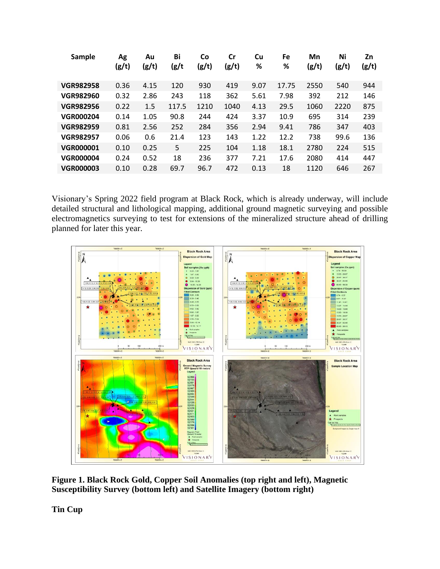| Sample           | Ag<br>(g/t) | Au<br>(g/t) | Bi<br>(g/t | Co<br>(g/t) | Cr<br>(g/t) | Cu<br>% | <b>Fe</b><br>% | Mn<br>(g/t) | Ni<br>(g/t) | Zn<br>(g/t) |
|------------------|-------------|-------------|------------|-------------|-------------|---------|----------------|-------------|-------------|-------------|
| <b>VGR982958</b> | 0.36        | 4.15        | 120        | 930         | 419         | 9.07    | 17.75          | 2550        | 540         | 944         |
| <b>VGR982960</b> | 0.32        | 2.86        | 243        | 118         | 362         | 5.61    | 7.98           | 392         | 212         | 146         |
| <b>VGR982956</b> | 0.22        | 1.5         | 117.5      | 1210        | 1040        | 4.13    | 29.5           | 1060        | 2220        | 875         |
| <b>VGR000204</b> | 0.14        | 1.05        | 90.8       | 244         | 424         | 3.37    | 10.9           | 695         | 314         | 239         |
| <b>VGR982959</b> | 0.81        | 2.56        | 252        | 284         | 356         | 2.94    | 9.41           | 786         | 347         | 403         |
| <b>VGR982957</b> | 0.06        | 0.6         | 21.4       | 123         | 143         | 1.22    | 12.2           | 738         | 99.6        | 136         |
| <b>VGR000001</b> | 0.10        | 0.25        | 5          | 225         | 104         | 1.18    | 18.1           | 2780        | 224         | 515         |
| <b>VGR000004</b> | 0.24        | 0.52        | 18         | 236         | 377         | 7.21    | 17.6           | 2080        | 414         | 447         |
| <b>VGR000003</b> | 0.10        | 0.28        | 69.7       | 96.7        | 472         | 0.13    | 18             | 1120        | 646         | 267         |

Visionary's Spring 2022 field program at Black Rock, which is already underway, will include detailed structural and lithological mapping, additional ground magnetic surveying and possible electromagnetics surveying to test for extensions of the mineralized structure ahead of drilling planned for later this year.



**Figure 1. Black Rock Gold, Copper Soil Anomalies (top right and left), Magnetic Susceptibility Survey (bottom left) and Satellite Imagery (bottom right)**

**Tin Cup**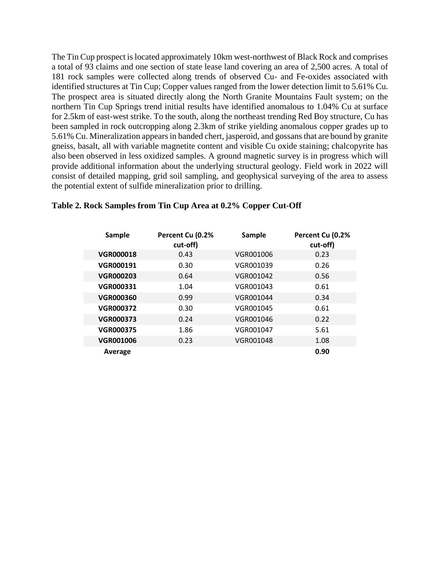The Tin Cup prospect is located approximately 10km west-northwest of Black Rock and comprises a total of 93 claims and one section of state lease land covering an area of 2,500 acres. A total of 181 rock samples were collected along trends of observed Cu- and Fe-oxides associated with identified structures at Tin Cup; Copper values ranged from the lower detection limit to 5.61% Cu. The prospect area is situated directly along the North Granite Mountains Fault system; on the northern Tin Cup Springs trend initial results have identified anomalous to 1.04% Cu at surface for 2.5km of east-west strike. To the south, along the northeast trending Red Boy structure, Cu has been sampled in rock outcropping along 2.3km of strike yielding anomalous copper grades up to 5.61% Cu. Mineralization appears in banded chert, jasperoid, and gossans that are bound by granite gneiss, basalt, all with variable magnetite content and visible Cu oxide staining; chalcopyrite has also been observed in less oxidized samples. A ground magnetic survey is in progress which will provide additional information about the underlying structural geology. Field work in 2022 will consist of detailed mapping, grid soil sampling, and geophysical surveying of the area to assess the potential extent of sulfide mineralization prior to drilling.

| Sample           | Percent Cu (0.2%<br>cut-off) | Sample    | Percent Cu (0.2%<br>cut-off) |
|------------------|------------------------------|-----------|------------------------------|
| <b>VGR000018</b> | 0.43                         | VGR001006 | 0.23                         |
| <b>VGR000191</b> | 0.30                         | VGR001039 | 0.26                         |
| <b>VGR000203</b> | 0.64                         | VGR001042 | 0.56                         |
| <b>VGR000331</b> | 1.04                         | VGR001043 | 0.61                         |
| <b>VGR000360</b> | 0.99                         | VGR001044 | 0.34                         |
| <b>VGR000372</b> | 0.30                         | VGR001045 | 0.61                         |
| <b>VGR000373</b> | 0.24                         | VGR001046 | 0.22                         |
| <b>VGR000375</b> | 1.86                         | VGR001047 | 5.61                         |
| <b>VGR001006</b> | 0.23                         | VGR001048 | 1.08                         |
| Average          |                              |           | 0.90                         |

### **Table 2. Rock Samples from Tin Cup Area at 0.2% Copper Cut-Off**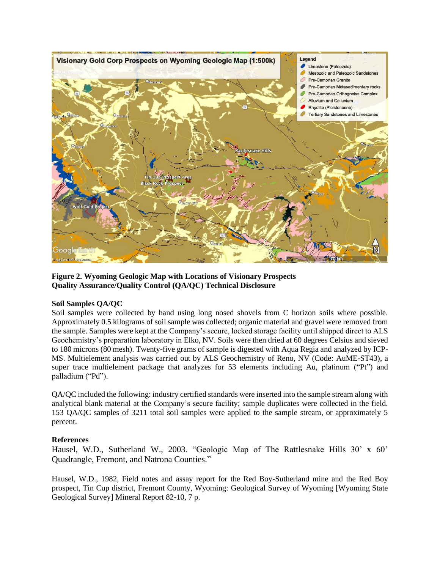

**Figure 2. Wyoming Geologic Map with Locations of Visionary Prospects Quality Assurance/Quality Control (QA/QC) Technical Disclosure**

### **Soil Samples QA/QC**

Soil samples were collected by hand using long nosed shovels from C horizon soils where possible. Approximately 0.5 kilograms of soil sample was collected; organic material and gravel were removed from the sample. Samples were kept at the Company's secure, locked storage facility until shipped direct to ALS Geochemistry's preparation laboratory in Elko, NV. Soils were then dried at 60 degrees Celsius and sieved to 180 microns (80 mesh). Twenty-five grams of sample is digested with Aqua Regia and analyzed by ICP-MS. Multielement analysis was carried out by ALS Geochemistry of Reno, NV (Code: AuME-ST43), a super trace multielement package that analyzes for 53 elements including Au, platinum ("Pt") and palladium ("Pd").

QA/QC included the following: industry certified standards were inserted into the sample stream along with analytical blank material at the Company's secure facility; sample duplicates were collected in the field. 153 QA/QC samples of 3211 total soil samples were applied to the sample stream, or approximately 5 percent.

### **References**

Hausel, W.D., Sutherland W., 2003. "Geologic Map of The Rattlesnake Hills 30' x 60' Quadrangle, Fremont, and Natrona Counties."

Hausel, W.D., 1982, Field notes and assay report for the Red Boy-Sutherland mine and the Red Boy prospect, Tin Cup district, Fremont County, Wyoming: Geological Survey of Wyoming [Wyoming State Geological Survey] Mineral Report 82-10, 7 p.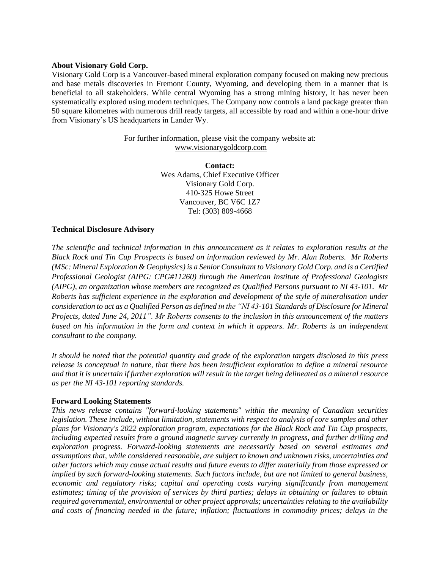#### **About Visionary Gold Corp.**

Visionary Gold Corp is a Vancouver-based mineral exploration company focused on making new precious and base metals discoveries in Fremont County, Wyoming, and developing them in a manner that is beneficial to all stakeholders. While central Wyoming has a strong mining history, it has never been systematically explored using modern techniques. The Company now controls a land package greater than 50 square kilometres with numerous drill ready targets, all accessible by road and within a one-hour drive from Visionary's US headquarters in Lander Wy.

> For further information, please visit the company website at: [www.visionarygoldcorp.com](http://www.visionarygoldcorp.com/)

> > **Contact:** Wes Adams, Chief Executive Officer Visionary Gold Corp. 410-325 Howe Street Vancouver, BC V6C 1Z7 Tel: (303) 809-4668

#### **Technical Disclosure Advisory**

*The scientific and technical information in this announcement as it relates to exploration results at the Black Rock and Tin Cup Prospects is based on information reviewed by Mr. Alan Roberts. Mr Roberts (MSc: Mineral Exploration & Geophysics) is a Senior Consultant to Visionary Gold Corp. and is a Certified Professional Geologist (AIPG: CPG#11260) through the American Institute of Professional Geologists (AIPG), an organization whose members are recognized as Qualified Persons pursuant to NI 43-101. Mr Roberts has sufficient experience in the exploration and development of the style of mineralisation under consideration to act as a Qualified Person as defined in the "NI 43-101 Standards of Disclosure for Mineral Projects, dated June 24, 2011". Mr Roberts consents to the inclusion in this announcement of the matters based on his information in the form and context in which it appears. Mr. Roberts is an independent consultant to the company.*

*It should be noted that the potential quantity and grade of the exploration targets disclosed in this press release is conceptual in nature, that there has been insufficient exploration to define a mineral resource and that it is uncertain if further exploration will result in the target being delineated as a mineral resource as per the NI 43-101 reporting standards.*

### **Forward Looking Statements**

*This news release contains "forward-looking statements" within the meaning of Canadian securities legislation. These include, without limitation, statements with respect to analysis of core samples and other plans for Visionary's 2022 exploration program, expectations for the Black Rock and Tin Cup prospects, including expected results from a ground magnetic survey currently in progress, and further drilling and exploration progress. Forward-looking statements are necessarily based on several estimates and assumptions that, while considered reasonable, are subject to known and unknown risks, uncertainties and other factors which may cause actual results and future events to differ materially from those expressed or implied by such forward-looking statements. Such factors include, but are not limited to general business, economic and regulatory risks; capital and operating costs varying significantly from management estimates; timing of the provision of services by third parties; delays in obtaining or failures to obtain required governmental, environmental or other project approvals; uncertainties relating to the availability and costs of financing needed in the future; inflation; fluctuations in commodity prices; delays in the*